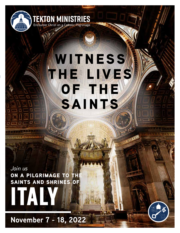

# **WITNESS the lives OF THE saints**

**MORITERIES** 

*Join us* **ON A PILGRIMAGE TO THE saints and shrines of**

NC YNA H

**italy**

**November 7 - 18, 2022**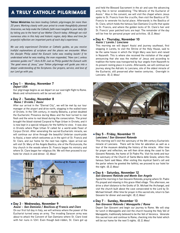# a truly catholic pilgrimage

**Tekton Ministries** *has been leading Catholic pilgrimages for more than 20 years. Working closely with your priest to create thoughtfully planned itineraries, we help make the Catholic faith more tangible to your daily life by taking you to the heart of our Mother Church today. Although we visit numerous sites in this holy and historic region, daily Mass and time for prayerful reflection are important parts of each day's experience.*

*We use only experienced Christian or Catholic guides, so you receive truthful explanations of scripture and the places we encounter. When the disciple Philip asked the Eunuch (who was reading Isaiah) if he understood what he was reading, the man responded, "How can I, unless someone guides me?" (Acts 8:35) Just as Philip guided the Eunuch with "the good news of Jesus," your Tekton pilgrimage will guide you into a deeper understanding of the Scriptures. Our prayers, service, and love of our Lord go with you.*

# l **Day 1 - Monday, November 7** *Depart USA*

Our pilgrimage begins as we depart on our overnight flight to Rome. Meals and refreshments will be served aloft.

# l **Day 2 - Tuesday, November 8**  *Rome / Orvieto / Assisi*

After our arrival in the "Eternal City", we will be met by our tour manager at the airport and drive north, stopping in the walled town of Orvieto. In the 13th century, in nearby Bolsena, a priest doubted the Eucharistic Presence during Mass and the host turned to real flesh and the wine to real blood during the consecration. The priest brought the blood-stained Corporal to Pope Urban in Orvieto, and it is now kept in a special reliquary for the faithful to view. It was also in Orvieto where Pope Urban IV called for a world-wide Feast of Corpus Christi. After venerating the sacred Eucharistic miracle, we will continue our drive through the beautiful Umbrian countryside to Assisi, a town which welcomes us in the spirit of St. Francis and St. Clare, and our home for the next two nights. Upon arrival we will visit St. Mary of the Angels Basilica, site of the Porziuncola, the tiny church in the woods where St. Francis began his ministry and where St. Clare began her religious life. We will then proceed to our hotel for check-in and dinner. *(D, Mass)*



# l **Day 3 - Wednesday, November 9** *Assisi – San Damiano / Basilicas of Francis and Clare*

On our first full day in Italy, we will witness where the power of the Eucharist turned away an army. The invading Saracen army was about to attack the Convent of San Damiano where St. Clare lived with her nuns in 1241. Even though bed-ridden, St. Clare got up and held the Blessed Sacrament in the air and saw the advancing army flee in terror establishing "The Miracle of the Eucharist of Assisi." Also in the convent, we will visit the chapel where Jesus spoke to St. Francis from the crucifix, then visit the Basilica of St. Francis to venerate his burial place. Afterwards is the Basilica of St. Clare, which holds the famous San Damiano Crucifix that spoke to St. Francis, and where the golden locks of St. Clare's hair and St. Francis' poor patched tunic are kept. The remainder of the day will be free for personal prayer and activities. *(B, D, Mass)*

#### l **Day 4 - Thursday, November 10** *Assisi / Loreto / Lanciano*

This morning we will depart Assisi and journey southeast, first stopping in Loreto, to visit the Shrine of the Holy House, said to be the same house in which the Virgin Mary was born and raised in Nazareth. This is where she received the visitation of the angel announcing that she was the mother of Jesus and according to tradition the home was transported by four angels from Nazareth to its present resting place in Loreto. Afterwards, we will continue our journey along the Adriatic to Lanciano, site of the oldest miracle of the Eucharist, still preserved after twelve centuries. Overnight in Lanciano. *(B, D, Mass)*



# l **Day 5 - Friday, November 11** *Lanciano / San Giovanni Rotondo*

This morning we'll visit the sanctuary of the 8th century Eucharistic miracle of Lanciano. There will be time for adoration as well as a tour of the museum detailing the history of the miracle. After time for prayer and reflection, we will then drive along the coast to San Giovanni Rotondo, the home of St Padre Pio. Visit his tomb and tour the sanctuary of the Church of Santa Maria delle Grazie, where this famous Saint said Mass. After visiting this mystical Saint's cell and the parlor where he greeted the faithful, we proceed to our hotel for the night. *(B, D, Mass)*

# **• Day 6 - Saturday, November 12** *San Giovanni Rotondo and Monte San Angelo*

Spend the morning in San Giovanni Rotondo, praying where St. Padre Pio prayed and relaxing in this grace-filled village. This afternoon, we drive a short distance to the Grotto of St. Michael the Archangel, and visit the church built above the cave consecrated to the Lord by St. Michael himself. After time for prayer in this sacred site, return to San Giovanni for dinner and overnight. *(B, D, Mass)*

# l **Day 7 - Sunday, November 13** *San Giovanni Rotondo / Manoppello / Rome*

Depart San Giovanni and begin our journey to Rome. We will stop for lunch in Manoppello and visit the church housing the Holy Veil of Manoppello, traditionally believed to be the Veil of Veronica. Venerate this sacred icon and continue to Rome, checking into the hotel which will be our home for the next 5 nights. *(B, D, Mass)*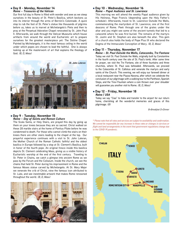#### **• Day 8 - Monday, November 14** *Rome – Treasures of the Vatican*

Our first full day in Rome is filled with wonder and awe as we steep ourselves in the beauty of St. Peter's Basilica, which beckons us into its interior through the arms of Bernini's Colonnade. A quick stop to rub the foot of St. Peter's statue like thousands of pilgrims before us, takes us to marvel at Michelangelo's Pieta and then to pray at the Perpetual Adoration Chapel renovated by St. John Paul II. Afterwards, we walk through the Vatican Museums which house artifacts from around the world and Eucharistic art to prepare ourselves for the greatest masterpiece yet: The Sistine Chapel. Painted by Michelangelo, it is the most famous ceiling in the world under which popes are chosen to lead the faithful. One is always looking up at the masterwork of art that explains the theology of God. *(B, D, Mass)*



# l **Day 9 - Tuesday, November 15** *Rome – Day of Saints and Roman Culture*

The Scala Santa, or Holy Stairs, are prayed this day by going up them on your knees because they are so sacred. Christ walked on these 28 marble stairs at the home of Pontius Pilate before he was condemned to death. For those who cannot climb the stairs on their knees there are other stairs leading to the chapel at the top. Our prayerful experience continues with a visit to St. John Lateran, the Mother Church of the Roman Catholic faithful and the oldest basilica in Europe followed by a stop at St. Clement's Basilica, built in honor of the fourth pope. An original fresco inside this basilica depicts St. Clement celebrating Mass, giving us a visible history of Eucharistic worship at the end of the first century. Traveling to St. Peter in Chains, we catch a glimpse into ancient Rome as we pass by the Forum and the Coliseum. Inside the church, we see the chains that held St. Peter during his imprisonment in Rome and the famous Moses statue carved by Michelangelo. At St. Mary Major we venerate the crib of Christ, view the famous icon attributed to St. Luke, and see inestimable artwork that makes Rome renowned throughout the world. *(B, D, Mass)*



#### l **Day 10 - Wednesday, November 16** *Rome – Papal Audience and St. Lawrence*

This morning we will attend the weekly Papal audience given by His Holiness, Pope Francis (depending upon the Holy Father's schedule). Afterwards, travel to St. Lawrence Outside the Walls, commemorating the martyrdom of St. Lawrence, one of the first deacons of Rome. Peek through one of the grates under the altar and you might see some of the ancient tunnels that led to a catacomb where he was first buried. The remains of the martyrs St. Justin and St. Stephen are also beneath the altar. This gem of a church also holds the body of Pope Pius IX who declared the Dogma of the Immaculate Conception of Mary. *(B, D, Mass)*

# • Day 11 - Thursday, November 17

*Rome – St. Paul Outside the Walls, Catacombs, Tre Fontane* Today we visit St. Paul Outside the Walls, originally built by Constantine in the fourth century over the site of St. Paul's tomb. After some time for prayer, we visit the Tre Fontane, site of three fountains and three churches, where St. Paul was beheaded. Afterwards, we proceed to the Catacombs of St. Callistus and venerate the martyrs and early saints of the Church. This evening, we will enjoy our farewell dinner at a local restaurant near the Piazza Navona, after which we celebrate the conclusion of our pilgrimage with a walking tour to the Pantheon, Spanish Steps, and the Trevi Fountain where a coin thrown over your shoulder will guarantee you another visit to Rome. *(B, D, Mass)*

# l **Day 12 - Friday, November 18** *Rome / USA*

Today we say "Ciao" to Italia and transfer to the airport for our return home, cherishing all the wonderful memories and graces of this pilgrimage. *(B)*

*B=Breakfast D=Dinner*

*\* Please note that all rates and services are subject to availability and confirmation. We cannot be responsible for any increase in these rates or changes in services or flight and land arrangements in the event that government regulations change due to the COVID-19 pandemic.*